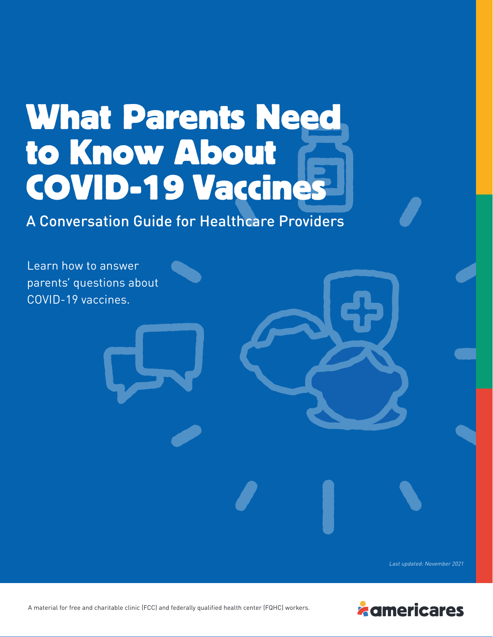# **What Parents Need to Know About COVID-19 Vaccines**

A Conversation Guide for Healthcare Providers



Last updated: November 2021



A material for free and charitable clinic (FCC) and federally qualified health center (FQHC) workers.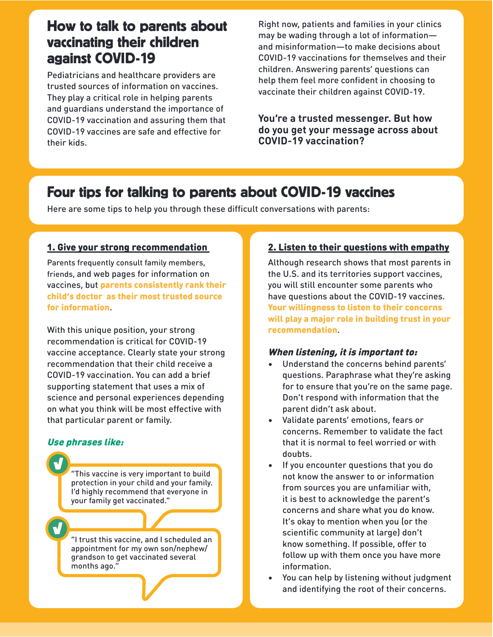# How to talk to parents about vaccinating their children against COVID-19

Pediatricians and healthcare providers are trusted sources of information on vaccines. They play a critical role in helping parents and guardians understand the importance of COVID-19 vaccination and assuring them that COVID-19 vaccines are safe and effective for their kids.

Right now, patients and families in your clinics may be wading through a lot of information and misinformation—to make decisions about COVID-19 vaccinations for themselves and their children. Answering parents' questions can help them feel more confident in choosing to vaccinate their children against COVID-19.

**You're a trusted messenger. But how do you get your message across about COVID-19 vaccination?**

# Four tips for talking to parents about COVID-19 vaccines

Here are some tips to help you through these difficult conversations with parents:

## 1. Give your strong recommendation

Parents frequently consult family members, friends, and web pages for information on vaccines, but parents consistently rank their child's doctor as their most trusted source for information.

With this unique position, your strong recommendation is critical for COVID-19 vaccine acceptance. Clearly state your strong recommendation that their child receive a COVID-19 vaccination. You can add a brief supporting statement that uses a mix of science and personal experiences depending on what you think will be most effective with that particular parent or family.

## Use phrases like:

"This vaccine is very important to build protection in your child and your family. I'd highly recommend that everyone in your family get vaccinated."

"I trust this vaccine, and I scheduled an appointment for my own son/nephew/ grandson to get vaccinated several months ago.'

## 2. Listen to their questions with empathy

Although research shows that most parents in the U.S. and its territories support vaccines, you will still encounter some parents who have questions about the COVID-19 vaccines. Your willingness to listen to their concerns will play a major role in building trust in your recommendation.

#### When listening, it is important to:

- Understand the concerns behind parents' questions. Paraphrase what they're asking for to ensure that you're on the same page. Don't respond with information that the parent didn't ask about.
- Validate parents' emotions, fears or concerns. Remember to validate the fact that it is normal to feel worried or with doubts.
- If you encounter questions that you do not know the answer to or information from sources you are unfamiliar with, it is best to acknowledge the parent's concerns and share what you do know. It's okay to mention when you (or the scientific community at large) don't know something. If possible, offer to follow up with them once you have more information.
- You can help by listening without judgment and identifying the root of their concerns.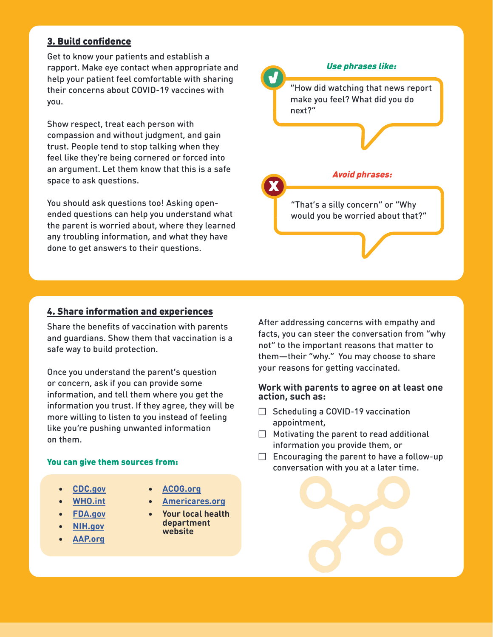## 3. Build confidence

Get to know your patients and establish a rapport. Make eye contact when appropriate and help your patient feel comfortable with sharing their concerns about COVID-19 vaccines with you.

Show respect, treat each person with compassion and without judgment, and gain trust. People tend to stop talking when they feel like they're being cornered or forced into an argument. Let them know that this is a safe space to ask questions.

You should ask questions too! Asking openended questions can help you understand what the parent is worried about, where they learned any troubling information, and what they have done to get answers to their questions.

## 4. Share information and experiences

Share the benefits of vaccination with parents and guardians. Show them that vaccination is a safe way to build protection.

Once you understand the parent's question or concern, ask if you can provide some information, and tell them where you get the information you trust. If they agree, they will be more willing to listen to you instead of feeling like you're pushing unwanted information on them.

#### You can give them sources from:

- **• [CDC.gov](https://www.cdc.gov/)**
- **• [WHO.int](https://www.who.int/)**
- **• [FDA.gov](https://www.fda.gov/)**
- **• [NIH.gov](https://www.nih.gov/)**
- **• [AAP.org](https://www.aap.org/)**
- **• [ACOG.org](https://www.acog.org/)**
- **• [Americares.org](https://www.americares.org/)**
- **• Your local health department website**

After addressing concerns with empathy and facts, you can steer the conversation from "why not" to the important reasons that matter to them—their "why." You may choose to share your reasons for getting vaccinated.

#### **Work with parents to agree on at least one action, such as:**

- ❒ Scheduling a COVID-19 vaccination appointment,
- ❒ Motivating the parent to read additional information you provide them, or
- $\Box$  Encouraging the parent to have a follow-up conversation with you at a later time.

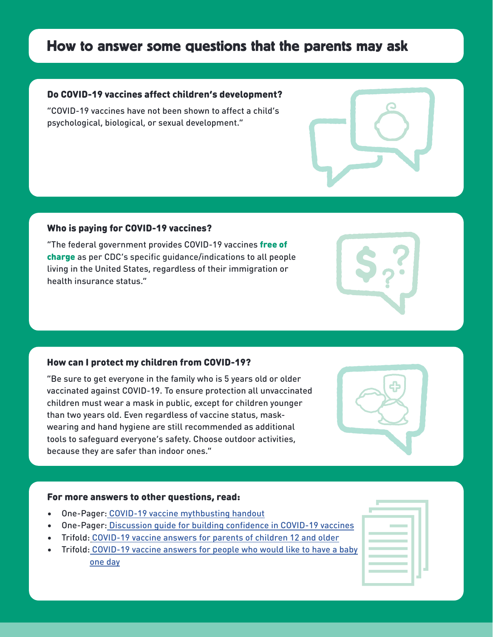# How to answer some questions that the parents may ask

#### Do COVID-19 vaccines affect children's development?

"COVID-19 vaccines have not been shown to affect a child's psychological, biological, or sexual development."

#### Who is paying for COVID-19 vaccines?

"The federal government provides COVID-19 vaccines free of charge as per CDC's specific guidance/indications to all people living in the United States, regardless of their immigration or health insurance status."

#### How can I protect my children from COVID-19?

"Be sure to get everyone in the family who is 5 years old or older vaccinated against COVID-19. To ensure protection all unvaccinated children must wear a mask in public, except for children younger than two years old. Even regardless of vaccine status, maskwearing and hand hygiene are still recommended as additional tools to safeguard everyone's safety. Choose outdoor activities, because they are safer than indoor ones."

#### For more answers to other questions, read:

- One-Pager: [COVID-19 vaccine mythbusting handout](https://www.nafcclinics.org/sites/default/files/Americares-MythbustingLong-ENG_v2a.pdf)
- One-Pager[: Discussion guide for building confidence in COVID-19 vaccines](https://www.nafcclinics.org/sites/default/files/Talking%20Points%20Cheat%20Sheet_EN.pdf)
- Trifold: [COVID-19 vaccine answers for parents of children 12 and older](https://www.nafcclinics.org/sites/default/files/Adolescents%20Trifold_EN.pdf)
- Trifold: [COVID-19 vaccine answers for people who would like to have a baby](https://www.nafcclinics.org/sites/default/files/Infertility%20Trifoled_EN.pdf)  one day